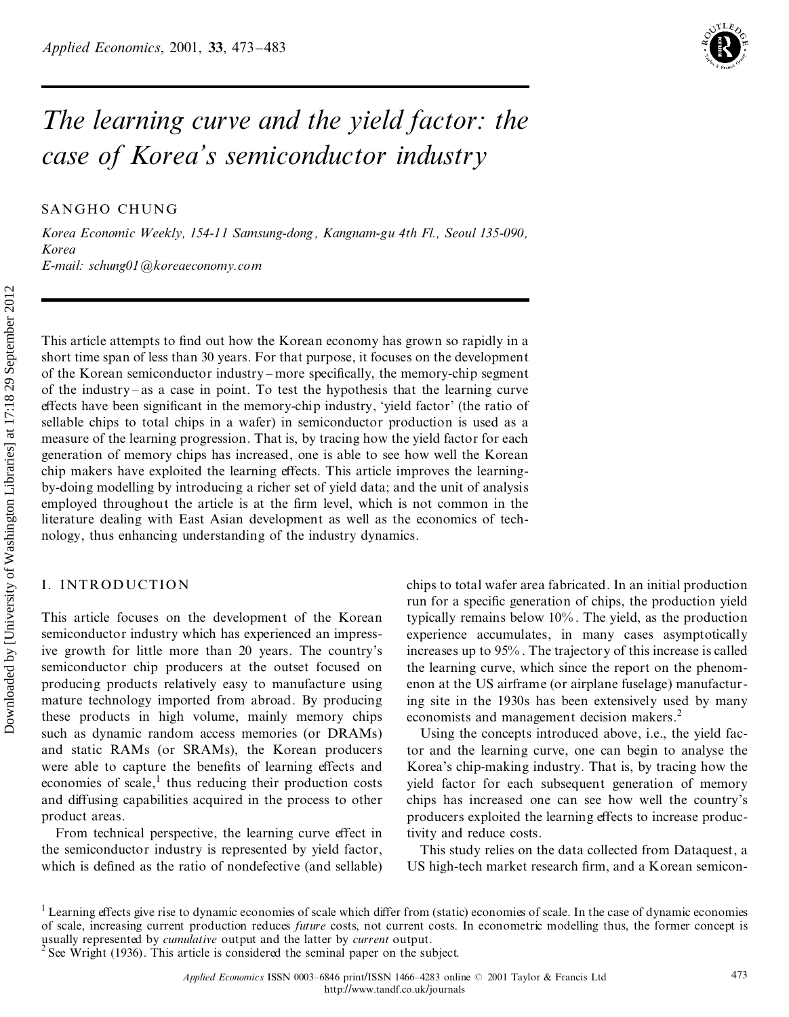

# *The learning curve and the yield factor: the case of Korea's semiconductor industry*

SANGHO CHUNG

*Korea Economic Weekly, 154-11 Samsung-dong , Kangnam-gu 4th Fl., Seoul 135-090, Korea E-mail: schung01@koreaeconomy.com*

This article attempts to find out how the Korean economy has grown so rapidly in a short time span of less than 30 years. For that purpose, it focuses on the development of the Korean semiconductor industry – more specifically, the memory-chip segment of the industry  $-\text{as a case in point}$ . To test the hypothesis that the learning curve effects have been significant in the memory-chip industry, 'yield factor' (the ratio of sellable chips to total chips in a wafer) in semiconductor production is used as a measure of the learning progression. That is, by tracing how the yield factor for each generation of memory chips has increased, one is able to see how well the Korean chip makers have exploited the learning effects. This article improves the learningby-doing modelling by introducing a richer set of yield data; and the unit of analysis employed throughout the article is at the firm level, which is not common in the literature dealing with East Asian development as well as the economics of tech nology, thus enhancing understanding of the industry dynamics. This article attempts to find out how the Korean economy has grown so ratort time span of less than 30 years. For that purpose, it focuses on the deformation of the Korean economy corresponding the memory-child factor of

# I. INTRODUCTION

This article focuses on the development of the Korean semiconductor industry which has experienced an impressive growth for little more than 20 years. The country's semiconductor chip producers at the outset focused on producing products relatively easy to manufacture using mature technology imported from abroad. By producing these products in high volume, mainly memory chips such as dynamic random access memories (or DRAMs) and static RAMs (or SRAMs), the Korean producers were able to capture the benefits of learning effects and economies of scale,<sup>1</sup> thus reducing their production costs and diffusing capabilities acquired in the process to other product areas.

From technical perspective, the learning curve effect in the semiconductor industry is represented by yield factor, which is defined as the ratio of nondefective (and sellable) chips to total wafer area fabricated. In an initial production run for a specific generation of chips, the production yield typically remains below 10% . The yield, as the production experience accumulates, in many cases asymptotically increases up to 95% . The trajectory of this increase is called the learning curve, which since the report on the phenom enon at the US airframe (or airplane fuselage) manufacturing site in the 1930s has been extensively used by many economists and management decision makers.<sup>2</sup>

Using the concepts introduced above, i.e., the yield factor and the learning curve, one can begin to analyse the Korea's chip-making industry. That is, by tracing how the yield factor for each subsequent generation of memory chips has increased one can see how well the country's producers exploited the learning effects to increase productivity and reduce costs.

This study relies on the data collected from Dataquest, a US high-tech market research firm, and a Korean semicon-

 $1$  Learning effects give rise to dynamic economies of scale which differ from (static) economies of scale. In the case of dynamic economies of scale, increasing current production reduces *future* costs, not current costs. In econometric modelling thus, the former concept is usually represented by *cumulative* output and the latter by *current* output.<br><sup>2</sup> See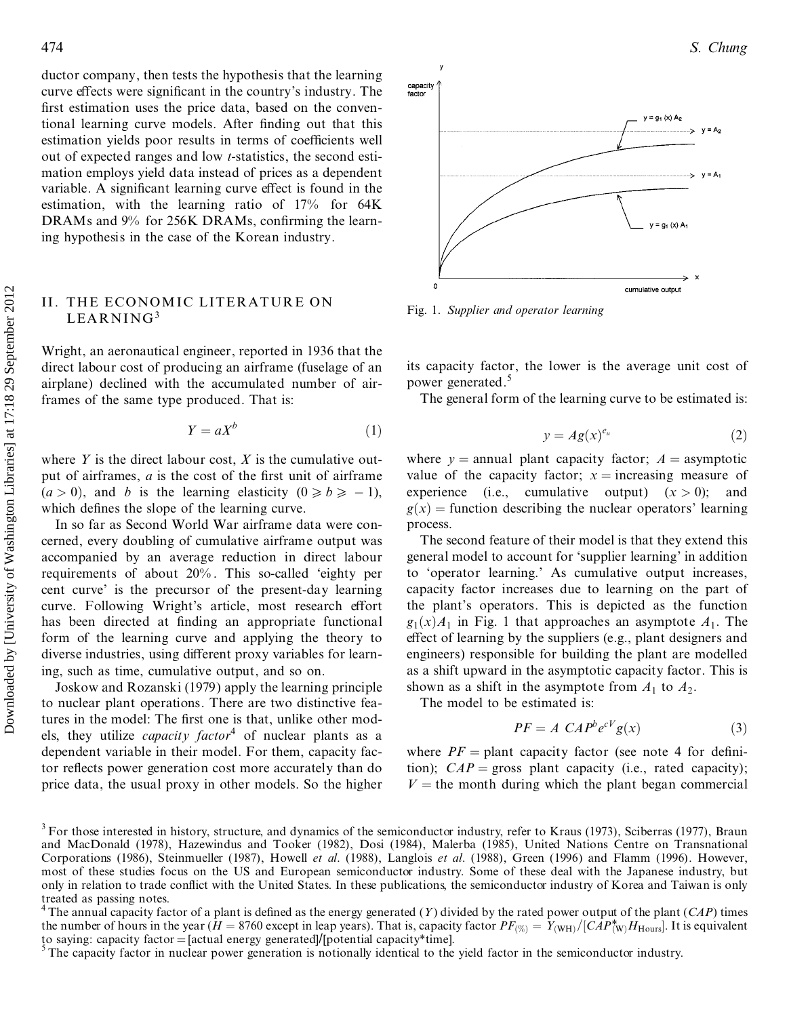ductor company, then tests the hypothesis that the learning curve effects were significant in the country's industry. The first estimation uses the price data, based on the conventional learning curve models. After finding out that this estimation yields poor results in terms of coefficients well out of expected ranges and low *t*-statistics, the second esti mation employs yield data instead of prices as a dependent variable. A significant learning curve effect is found in the estimation, with the learning ratio of 17% for 64K DRAMs and  $9\%$  for 256K DRAMs, confirming the learning hypothesis in the case of the Korean industry.

## II. THE ECONOMIC LITERATURE ON LEARNING<sup>3</sup>

Wright, an aeronautical engineer, reported in 1936 that the direct labour cost of producing an airframe (fuselage of an airplane) declined with the accumulated number of airframes of the same type produced. That is:

$$
Y = aX^b \tag{1}
$$

where  $Y$  is the direct labour cost,  $X$  is the cumulative output of airframes, *a* is the cost of the first unit of airframe  $(a > 0)$ , and *b* is the learning elasticity  $(0 \ge b \ge -1)$ , which defines the slope of the learning curve.

In so far as Second World War airframe data were con cerned, every doubling of cumulative airframe output was accompanied by an average reduction in direct labour requirements of about 20% . This so-called `eighty per cent curve' is the precursor of the present-day learning curve. Following Wright's article, most research effort has been directed at finding an appropriate functional form of the learning curve and applying the theory to diverse industries, using different proxy variables for learning, such as time, cumulative output, and so on. Fig. 11. THE F.CONOMIC LITERATURE ON<br>
Fig. 1. Supplier and operator having<br>
LEARMING OV<br>
LEARMING ON Fig. 1. Supplier and operator having<br>
Wright, an accountable engineer, repented in 1936 that the<br>
Wright, an accountable

Joskow and Rozanski (1979) apply the learning principle to nuclear plant operations. There are two distinctive features in the model: The first one is that, unlike other models, they utilize *capacity factor* <sup>4</sup> of nuclear plants as a dependent variable in their model. For them, capacity factor reflects power generation cost more accurately than do price data, the usual proxy in other models. So the higher



Fig. 1. *Supplier and operator learning*

its capacity factor, the lower is the average unit cost of power generated.<sup>5</sup>

The general form of the learning curve to be estimated is:

$$
y = Ag(x)^{e_u} \tag{2}
$$

where  $y =$  annual plant capacity factor;  $A =$  asymptotic value of the capacity factor;  $x =$  increasing measure of experience (i.e., cumulative output)  $(x > 0)$ ; and  $g(x)$  = function describing the nuclear operators' learning process.

The second feature of their model is that they extend this general model to account for `supplier learning' in addition to `operator learning.' As cumulative output increases, capacity factor increases due to learning on the part of the plant's operators. This is depicted as the function  $g_1(x)A_1$  in Fig. 1 that approaches an asymptote  $A_1$ . The effect of learning by the suppliers (e.g., plant designers and engineers) responsible for building the plant are modelled as a shift upward in the asymptotic capacity factor. This is shown as a shift in the asymptote from  $A_1$  to  $A_2$ .

The model to be estimated is:

$$
PF = A \; CAP^b e^{cV} g(x) \tag{3}
$$

where  $PF =$  plant capacity factor (see note 4 for definition);  $CAP = \text{gross plant capacity}$  (i.e., rated capacity);  $V =$  the month during which the plant began commercial

<sup>&</sup>lt;sup>3</sup> For those interested in history, structure, and dynamics of the semiconductor industry, refer to Kraus (1973), Sciberras (1977), Braun and MacDonald (1978), Hazewindus and Tooker (1982), Dosi (1984), Malerba (1985), United Nations Centre on Transnational Corporations (1986), Steinmueller (1987), Howell *et al*. (1988), Langlois *et al*. (1988), Green (1996) and Flamm (1996). However, most of these studies focus on the US and European semiconductor industry. Some of these deal with the Japanese industry, but only in relation to trade conflict with the United States. In these publications, the semiconductor industry of Korea and Taiwan is only

treated as passing notes.<br><sup>4</sup> The annual capacity factor of a plant is defined as the energy generated (*Y*) divided by the rated power output of the plant (*CAP*) times the number of hours in the year (*H* = 8760 except in leap years). That is, capacity factor  $PF_{\text{(%)}} = Y_{\text{(WH)}}/[CAP_{\text{(W)}}^*H_{\text{Hours}}]$ . It is equivalent to saying: capacity factor = [actual energy generated]/[potential capacit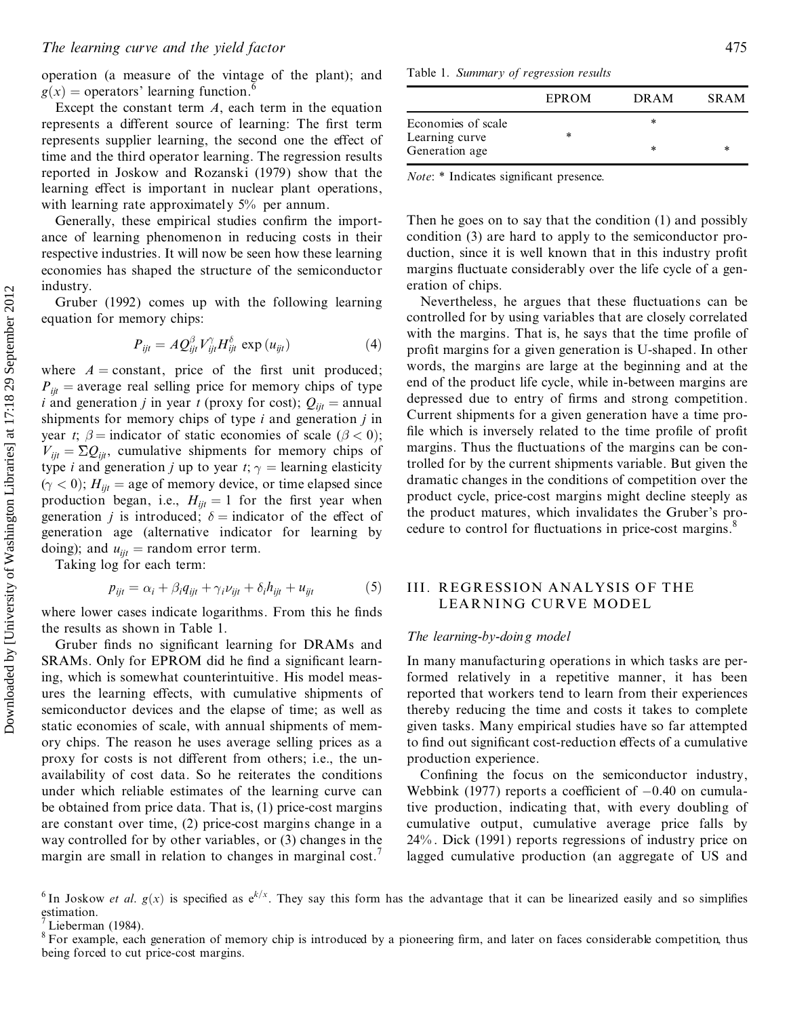operation (a measure of the vintage of the plant); and  $g(x)$  = operators' learning function.<sup>6</sup>

Except the constant term  $A$ , each term in the equation represents a different source of learning: The first term represents supplier learning, the second one the effect of time and the third operator learning. The regression results reported in Joskow and Rozanski (1979) show that the learning effect is important in nuclear plant operations, with learning rate approximately 5% per annum.

Generally, these empirical studies confirm the importance of learning phenomenon in reducing costs in their respective industries. It will now be seen how these learning economies has shaped the structure of the semiconductor industry.

Gruber (1992) comes up with the following learning equation for memory chips:

$$
P_{ijt} = AQ_{ijt}^{\beta} V_{ijt}^{\gamma} H_{ijt}^{\delta} \exp(u_{ijt})
$$
 (4)

where  $A = constant$ , price of the first unit produced;  $P_{ii}$  = average real selling price for memory chips of type *i* and generation *j* in year *t* (proxy for cost);  $Q_{ijt}$  = annual shipments for memory chips of type  $i$  and generation  $j$  in year t;  $\beta$  = indicator of static economies of scale ( $\beta$  < 0);  $V_{ii} = \Sigma Q_{ii}$ , cumulative shipments for memory chips of type *i* and generation *j* up to year *t*;  $\gamma$  = learning elasticity  $(\gamma < 0)$ ;  $H_{ijt}$  = age of memory device, or time elapsed since production began, i.e.,  $H_{ijt} = 1$  for the first year when generation *j* is introduced;  $\delta$  = indicator of the effect of generation age (alternative indicator for learning by doing); and  $u_{ii}$  = random error term.

Taking log for each term:

$$
p_{ijt} = \alpha_i + \beta_i q_{ijt} + \gamma_i \nu_{ijt} + \delta_i h_{ijt} + u_{ijt} \tag{5}
$$

where lower cases indicate logarithms. From this he finds the results as shown in Table 1.

Gruber finds no significant learning for DRAMs and SRAMs. Only for EPROM did he find a significant learning, which is somewhat counterintuitive. His model measures the learning effects, with cumulative shipments of semiconductor devices and the elapse of time; as well as static economies of scale, with annual shipments of memory chips. The reason he uses average selling prices as a proxy for costs is not different from others; i.e., the unavailability of cost data. So he reiterates the conditions under which reliable estimates of the learning curve can be obtained from price data. That is, (1) price-cost margins are constant over time, (2) price-cost margins change in a way controlled for by other variables, or (3) changes in the margin are small in relation to changes in marginal cost.<sup>7</sup>

Table 1. Summary of regression results

|                                  | EPROM  | <b>DRAM</b> | <b>SRAM</b> |
|----------------------------------|--------|-------------|-------------|
| Economies of scale               | $\ast$ | *           |             |
| Learning curve<br>Generation age |        | *           | *           |

*Note*: \* Indicates significant presence.

Then he goes on to say that the condition (1) and possibly condition (3) are hard to apply to the semiconductor production, since it is well known that in this industry profit margins fluctuate considerably over the life cycle of a generation of chips.

Nevertheless, he argues that these fluctuations can be controlled for by using variables that are closely correlated with the margins. That is, he says that the time profile of profit margins for a given generation is U-shaped. In other words, the margins are large at the beginning and at the end of the product life cycle, while in-between margins are depressed due to entry of firms and strong competition. Current shipments for a given generation have a time profile which is inversely related to the time profile of profit margins. Thus the fluctuations of the margins can be controlled for by the current shipments variable. But given the dramatic changes in the conditions of competition over the product cycle, price-cost margins might decline steeply as the product matures, which invalidates the Gruber's procedure to control for fluctuations in price-cost margins.<sup>8</sup>

# **III. REGRESSION ANALYSIS OF THE** LEARNING CURVE MODEL

#### The learning-by-doin g model

In many manufacturing operations in which tasks are performed relatively in a repetitive manner, it has been reported that workers tend to learn from their experiences thereby reducing the time and costs it takes to complete given tasks. Many empirical studies have so far attempted to find out significant cost-reduction effects of a cumulative production experience.

Confining the focus on the semiconductor industry, Webbink (1977) reports a coefficient of  $-0.40$  on cumulative production, indicating that, with every doubling of cumulative output, cumulative average price falls by  $24\%$ . Dick (1991) reports regressions of industry price on lagged cumulative production (an aggregate of US and

<sup>&</sup>lt;sup>6</sup> In Joskow *et al.*  $g(x)$  is specified as  $e^{k/x}$ . They say this form has the advantage that it can be linearized easily and so simplifies estimation.

Lieberman  $(1984)$ .

<sup>&</sup>lt;sup>8</sup> For example, each generation of memory chip is introduced by a pioneering firm, and later on faces considerable competition, thus being forced to cut price-cost margins.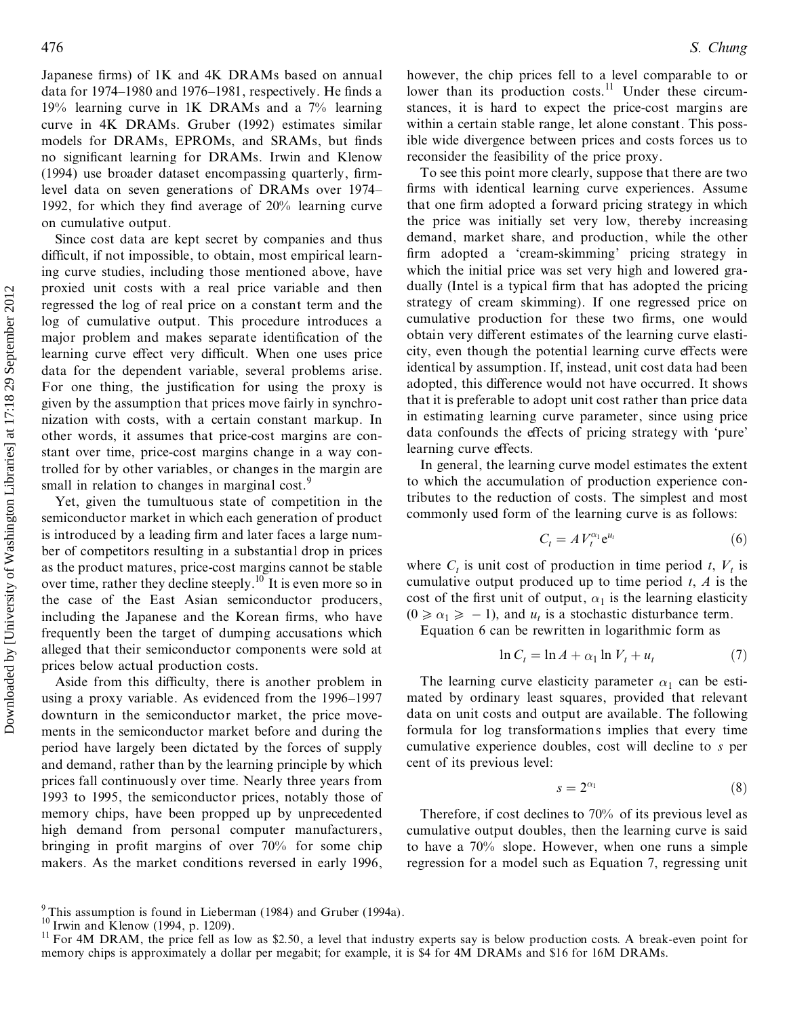Japanese firms) of  $1K$  and  $4K$  DRAMs based on annual data for  $1974-1980$  and  $1976-1981$ , respectively. He finds a 19% learning curve in 1K DRAMs and a 7% learning curve in 4K DRAMs. Gruber (1992) estimates similar models for DRAMs, EPROMs, and SRAMs, but finds no significant learning for DRAMs. Irwin and Klenow  $(1994)$  use broader dataset encompassing quarterly, firmlevel data on seven generations of DRAMs over 1974– 1992, for which they find average of  $20\%$  learning curve on cumulative output.

Since cost data are kept secret by companies and thus difficult, if not impossible, to obtain, most empirical learning curve studies, including those mentioned above, have proxied unit costs with a real price variable and then regressed the log of real price on a constant term and the log of cumulative output. This procedure introduces a major problem and makes separate identification of the learning curve effect very difficult. When one uses price data for the dependent variable, several problems arise. For one thing, the justification for using the proxy is given by the assumption that prices move fairly in synchro nization with costs, with a certain constant markup. In other words, it assumes that price-cost margins are constant over time, price-cost margins change in a way controlled for by other variables, or changes in the margin are small in relation to changes in marginal cost.<sup>9</sup> Example the constraint of the state of the state of the state of the state of the state of the state of the state of the state of the state of the state of the state of the state of the state of the state of the state of

Yet, given the tumultuous state of competition in the semiconductor market in which each generation of product is introduced by a leading firm and later faces a large number of competitors resulting in a substantial drop in prices as the product matures, price-cost margins cannot be stable over time, rather they decline steeply.<sup>10</sup> It is even more so in the case of the East Asian semiconductor producers, including the Japanese and the Korean firms, who have frequently been the target of dumping accusations which alleged that their semiconductor components were sold at prices below actual production costs.

Aside from this difficulty, there is another problem in using a proxy variable. As evidenced from the  $1996-1997$ downturn in the semiconductor market, the price move ments in the semiconductor market before and during the period have largely been dictated by the forces of supply and demand, rather than by the learning principle by which prices fall continuously over time. Nearly three years from 1993 to 1995, the semiconductor prices, notably those of memory chips, have been propped up by unprecedented high demand from personal computer manufacturers, bringing in profit margins of over  $70\%$  for some chip makers. As the market conditions reversed in early 1996,

however, the chip prices fell to a level comparable to or lower than its production costs.<sup>11</sup> Under these circumstances, it is hard to expect the price-cost margins are within a certain stable range, let alone constant. This possible wide divergence between prices and costs forces us to reconsider the feasibility of the price proxy.

To see this point more clearly, suppose that there are two firms with identical learning curve experiences. Assume that one firm adopted a forward pricing strategy in which the price was initially set very low, thereby increasing demand, market share, and production, while the other firm adopted a 'cream-skimming' pricing strategy in which the initial price was set very high and lowered gra dually (Intel is a typical firm that has adopted the pricing strategy of cream skimming). If one regressed price on cumulative production for these two firms, one would obtain very different estimates of the learning curve elasticity, even though the potential learning curve effects were identical by assumption. If, instead, unit cost data had been adopted, this difference would not have occurred. It shows that it is preferable to adopt unit cost rather than price data in estimating learning curve parameter, since using price data confounds the effects of pricing strategy with 'pure' learning curve effects.

In general, the learning curve model estimates the extent to which the accumulation of production experience contributes to the reduction of costs. The simplest and most commonly used form of the learning curve is as follows:

$$
C_t = A V_t^{\alpha_1} e^{u_t} \tag{6}
$$

where  $C_t$  is unit cost of production in time period  $t$ ,  $V_t$  is cumulative output produced up to time period  $t$ ,  $A$  is the cost of the first unit of output,  $\alpha_1$  is the learning elasticity  $(0 \ge \alpha_1 \ge -1)$ , and  $u_t$  is a stochastic disturbance term.<br>Equation 6 can be rewritten in logarithmic form as

$$
\ln C_t = \ln A + \alpha_1 \ln V_t + u_t \tag{7}
$$

The learning curve elasticity parameter  $\alpha_1$  can be estimated by ordinary least squares, provided that relevant data on unit costs and output are available. The following formula for log transformations implies that every time cumulative experience doubles, cost will decline to *s* per cent of its previous level:

$$
s = 2^{\alpha_1} \tag{8}
$$

Therefore, if cost declines to 70% of its previous level as cumulative output doubles, then the learning curve is said to have a 70% slope. However, when one runs a simple regression for a model such as Equation 7, regressing unit

<sup>&</sup>lt;sup>9</sup> This assumption is found in Lieberman (1984) and Gruber (1994a).<br><sup>10</sup> Irwin and Klenow (1994, p. 1209).<br><sup>11</sup> For 4M DRAM, the price fell as low as \$2.50, a level that industry experts say is below production costs. A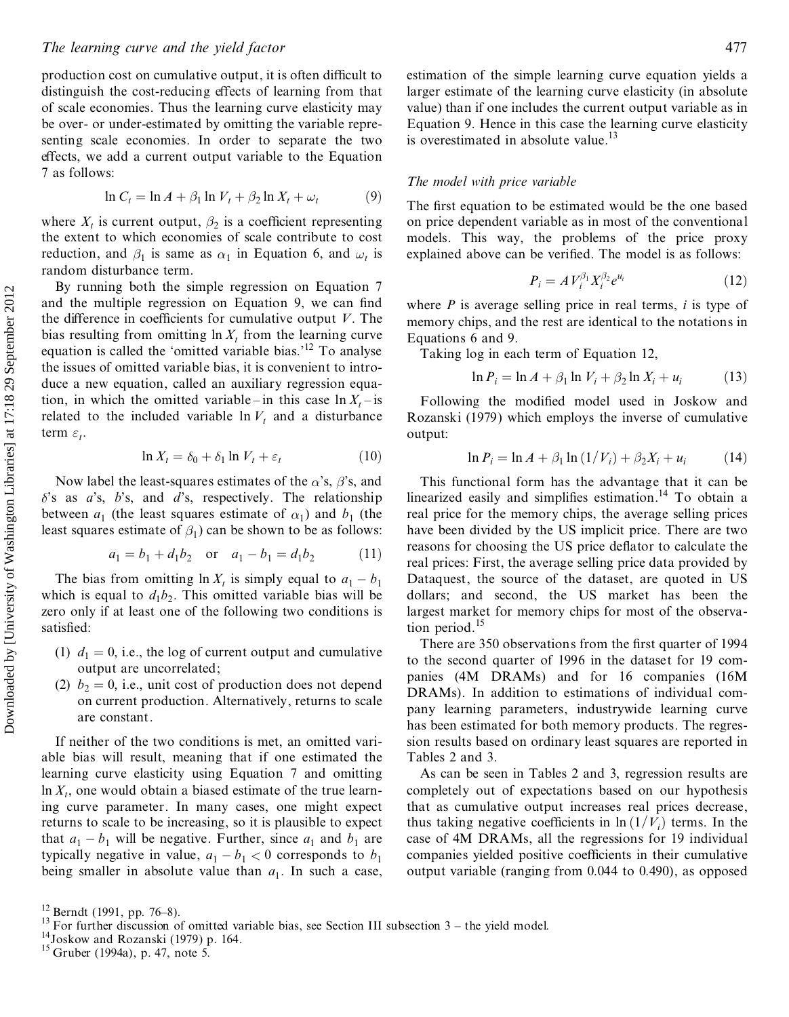production cost on cumulative output, it is often difficult to distinguish the cost-reducing effects of learning from that of scale economies. Thus the learning curve elasticity may be over- or under-estimated by omitting the variable representing scale economies. In order to separate the two effects, we add a current output variable to the Equation 7 as follows:

$$
\ln C_t = \ln A + \beta_1 \ln V_t + \beta_2 \ln X_t + \omega_t \tag{9}
$$

where  $X_t$  is current output,  $\beta_2$  is a coefficient representing the extent to which economies of scale contribute to cost reduction, and  $\beta_1$  is same as  $\alpha_1$  in Equation 6, and  $\omega_t$  is random disturbance term.

By running both the simple regression on Equation 7 and the multiple regression on Equation 9, we can find the difference in coefficients for cumulative output  $V$ . The bias resulting from omitting  $\ln X_t$  from the learning curve equation is called the 'omitted variable bias.'<sup>12</sup> To analyse the issues of omitted variable bias, it is convenient to intro duce a new equation, called an auxiliary regression equation, in which the omitted variable - in this case  $\ln X_t$  - is related to the included variable  $\ln V_t$  and a disturbance term  $\varepsilon_t$ .

$$
\ln X_t = \delta_0 + \delta_1 \ln V_t + \varepsilon_t \tag{10}
$$

Now label the least-squares estimates of the  $\alpha$ 's,  $\beta$ 's, and  $\delta$ 's as  $a$ 's,  $b$ 's, and  $d$ 's, respectively. The relationship between  $a_1$  (the least squares estimate of  $\alpha_1$ ) and  $b_1$  (the least squares estimate of  $\beta_1$ ) can be shown to be as follows:

$$
a_1 = b_1 + d_1 b_2 \quad \text{or} \quad a_1 - b_1 = d_1 b_2 \tag{11}
$$

The bias from omitting  $\ln X_t$  is simply equal to  $a_1 - b_1$ which is equal to  $d_1b_2$ . This omitted variable bias will be zero only if at least one of the following two conditions is satisfied:

- (1)  $d_1 = 0$ , i.e., the log of current output and cumulative output are uncorrelated;
- (2)  $b_2 = 0$ , i.e., unit cost of production does not depend on current production. Alternatively, returns to scale are constant.

If neither of the two conditions is met, an omitted vari able bias will result, meaning that if one estimated the learning curve elasticity using Equation 7 and omitting  $\ln X_t$ , one would obtain a biased estimate of the true learning curve parameter. In many cases, one might expect returns to scale to be increasing, so it is plausible to expect that  $a_1 - b_1$  will be negative. Further, since  $a_1$  and  $b_1$  are typically negative in value,  $a_1 - b_1 < 0$  corresponds to  $b_1$ being smaller in absolute value than  $a_1$ . In such a case, estimation of the simple learning curve equation yields a larger estimate of the learning curve elasticity (in absolute value) than if one includes the current output variable as in Equation 9. Hence in this case the learning curve elasticity is overestimated in absolute value.<sup>13</sup>

#### *The model with price variable*

The first equation to be estimated would be the one based on price dependent variable as in most of the conventional models. This way, the problems of the price proxy explained above can be verified. The model is as follows:

$$
P_i = A V_i^{\beta_1} X_i^{\beta_2} e^{u_i}
$$
 (12)

where *P* is average selling price in real terms, *i* is type of memory chips, and the rest are identical to the notations in Equations 6 and 9.

Taking log in each term of Equation 12,

$$
\ln P_i = \ln A + \beta_1 \ln V_i + \beta_2 \ln X_i + u_i \tag{13}
$$

Following the modified model used in Joskow and Rozanski (1979) which employs the inverse of cumulative output:

$$
\ln P_i = \ln A + \beta_1 \ln (1/V_i) + \beta_2 X_i + u_i \tag{14}
$$

This functional form has the advantage that it can be linearized easily and simplifies estimation.<sup>14</sup> To obtain a real price for the memory chips, the average selling prices have been divided by the US implicit price. There are two reasons for choosing the US price deflator to calculate the real prices: First, the average selling price data provided by Dataquest, the source of the dataset, are quoted in US dollars; and second, the US market has been the largest market for memory chips for most of the observation period.<sup>15</sup>

There are 350 observations from the first quarter of 1994 to the second quarter of 1996 in the dataset for 19 com panies (4M DRAMs) and for 16 companies (16M DRAMs). In addition to estimations of individual com pany learning parameters, industrywide learning curve has been estimated for both memory products. The regression results based on ordinary least squares are reported in Tables 2 and 3.

As can be seen in Tables 2 and 3, regression results are completely out of expectations based on our hypothesis that as cumulative output increases real prices decrease, thus taking negative coefficients in  $\ln (1/V_i)$  terms. In the case of 4M DRAMs, all the regressions for 19 individual companies yielded positive coefficients in their cumulative output variable (ranging from 0.044 to 0.490), as opposed

<sup>&</sup>lt;sup>12</sup> Berndt (1991, pp. 76–8). <sup>13</sup> For further discussion of omitted variable bias, see Section III subsection 3 – the yield model. <sup>14</sup> Joskow and Rozanski (1979) p. 164. <sup>15</sup> Gruber (1994a), p. 47, note 5.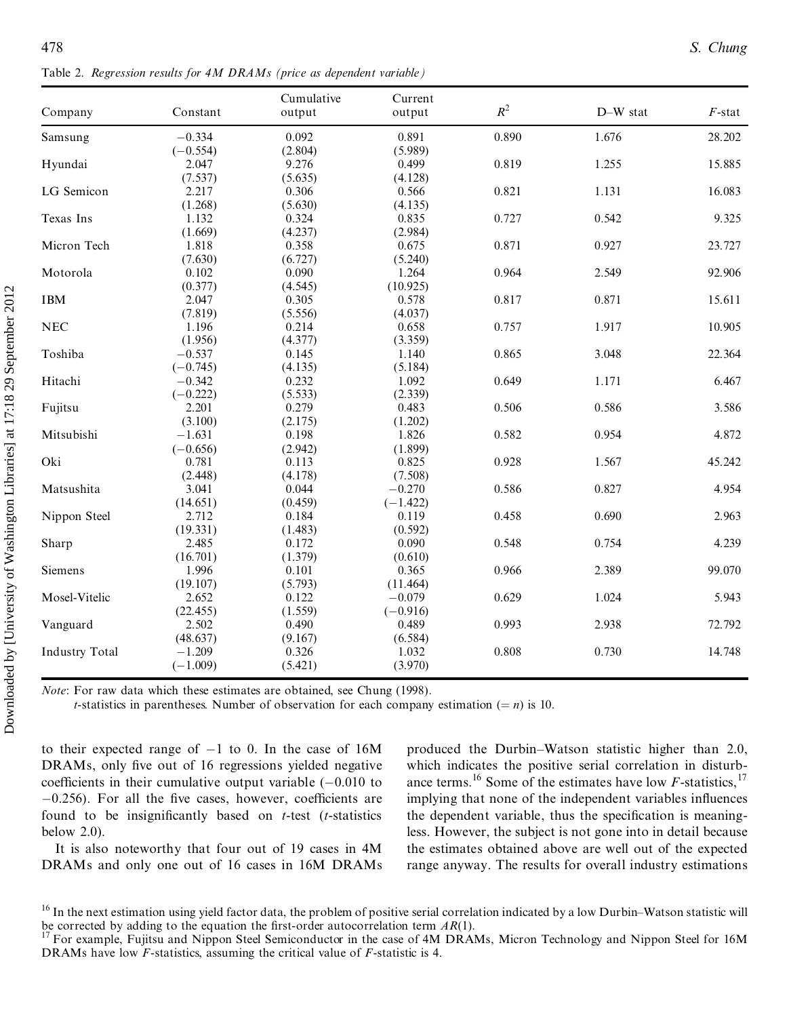Table 2. *Regression results for 4M DRAMs (price as dependent variable)*

| Company               | Constant   | Cumulative<br>output | Current<br>output | $R^2$ | D-W stat | $F$ -stat |
|-----------------------|------------|----------------------|-------------------|-------|----------|-----------|
| Samsung               | $-0.334$   | 0.092                | 0.891             | 0.890 | 1.676    | 28.202    |
|                       | $(-0.554)$ | (2.804)              | (5.989)           |       |          |           |
| Hyundai               | 2.047      | 9.276                | 0.499             | 0.819 | 1.255    | 15.885    |
|                       | (7.537)    | (5.635)              | (4.128)           |       |          |           |
| LG Semicon            | 2.217      | 0.306                | 0.566             | 0.821 | 1.131    | 16.083    |
|                       | (1.268)    | (5.630)              | (4.135)           |       |          |           |
| Texas Ins             | 1.132      | 0.324                | 0.835             | 0.727 | 0.542    | 9.325     |
|                       | (1.669)    | (4.237)              | (2.984)           |       |          |           |
| Micron Tech           | 1.818      | 0.358                | 0.675             | 0.871 | 0.927    | 23.727    |
|                       | (7.630)    | (6.727)              | (5.240)           |       |          |           |
| Motorola              | 0.102      | 0.090                | 1.264             | 0.964 | 2.549    | 92.906    |
|                       | (0.377)    | (4.545)              | (10.925)          |       |          |           |
| <b>IBM</b>            | 2.047      | 0.305                | 0.578             | 0.817 | 0.871    | 15.611    |
|                       | (7.819)    | (5.556)              | (4.037)           |       |          |           |
| $_{\rm NEC}$          | 1.196      | 0.214                | 0.658             | 0.757 | 1.917    | 10.905    |
|                       | (1.956)    | (4.377)              | (3.359)           |       |          |           |
| Toshiba               | $-0.537$   | 0.145                | 1.140             | 0.865 | 3.048    | 22.364    |
|                       | $(-0.745)$ | (4.135)              | (5.184)           |       |          |           |
| Hitachi               | $-0.342$   | 0.232                | 1.092             | 0.649 | 1.171    | 6.467     |
|                       | $(-0.222)$ | (5.533)              | (2.339)           |       |          |           |
| Fujitsu               | 2.201      | 0.279                | 0.483             | 0.506 | 0.586    | 3.586     |
|                       | (3.100)    | (2.175)              | (1.202)           |       |          |           |
| Mitsubishi            | $-1.631$   | 0.198                | 1.826             | 0.582 | 0.954    | 4.872     |
|                       | $(-0.656)$ | (2.942)              | (1.899)           |       |          |           |
| Oki                   | 0.781      | 0.113                | 0.825             | 0.928 | 1.567    | 45.242    |
|                       | (2.448)    | (4.178)              | (7.508)           |       |          |           |
| Matsushita            | 3.041      | 0.044                | $-0.270$          | 0.586 | 0.827    | 4.954     |
|                       | (14.651)   | (0.459)              | $(-1.422)$        |       |          |           |
| Nippon Steel          | 2.712      | 0.184                | 0.119             | 0.458 | 0.690    | 2.963     |
|                       | (19.331)   | (1.483)              | (0.592)           |       |          |           |
| Sharp                 | 2.485      | 0.172                | 0.090             | 0.548 | 0.754    | 4.239     |
|                       | (16.701)   | (1.379)              | (0.610)           |       |          |           |
| Siemens               | 1.996      | 0.101                | 0.365             | 0.966 | 2.389    | 99.070    |
|                       | (19.107)   | (5.793)              | (11.464)          |       |          |           |
| Mosel-Vitelic         | 2.652      | 0.122                | $-0.079$          | 0.629 | 1.024    | 5.943     |
|                       | (22.455)   | (1.559)              | $(-0.916)$        |       |          |           |
| Vanguard              | 2.502      | 0.490                | 0.489             | 0.993 | 2.938    | 72.792    |
|                       | (48.637)   | (9.167)              | (6.584)           |       |          |           |
| <b>Industry Total</b> | $-1.209$   | 0.326                | 1.032             | 0.808 | 0.730    | 14.748    |
|                       | $(-1.009)$ | (5.421)              | (3.970)           |       |          |           |

*Note*: For raw data which these estimates are obtained, see Chung (1998).

*t*-statistics in parentheses. Number of observation for each company estimation ( $= n$ ) is 10.

to their expected range of  $-1$  to 0. In the case of 16M DRAMs, only five out of 16 regressions yielded negative coefficients in their cumulative output variable  $(-0.010)$  to  $-0.256$ ). For all the five cases, however, coefficients are found to be insignificantly based on  $t$ -test ( $t$ -statistics below 2.0).

It is also noteworthy that four out of 19 cases in 4M DRAMs and only one out of 16 cases in 16M DRAMs produced the Durbin±Watson statistic higher than 2.0, which indicates the positive serial correlation in disturb ance terms.<sup>16</sup> Some of the estimates have low  $F$ -statistics,<sup>17</sup> implying that none of the independent variables influences the dependent variable, thus the specification is meaningless. However, the subject is not gone into in detail because the estimates obtained above are well out of the expected range anyway. The results for overall industry estimations

<sup>&</sup>lt;sup>16</sup> In the next estimation using yield factor data, the problem of positive serial correlation indicated by a low Durbin–Watson statistic will be corrected by adding to the equation the first-order autocorrelation term

For example, Fujitsu and Nippon Steel Semiconductor in the case of 4M DRAMs, Micron Technology and Nippon Steel for 16M DRAMs have low *F*-statistics, assuming the critical value of *F*-statistic is 4.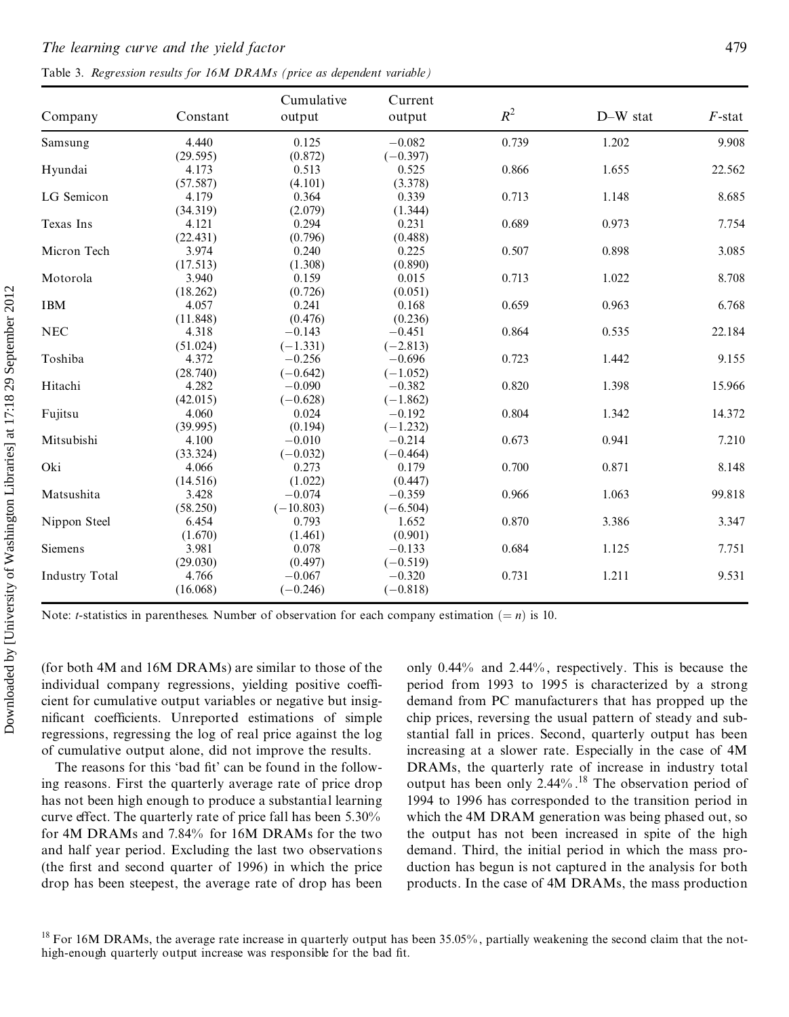Table 3. Regression results for 16M DRAMs (price as dependent variable)

| Company               | Constant | Cumulative<br>output | Current<br>output | $R^2$ | D-W stat | $F$ -stat |
|-----------------------|----------|----------------------|-------------------|-------|----------|-----------|
| Samsung               | 4.440    | 0.125                | $-0.082$          | 0.739 | 1.202    | 9.908     |
|                       | (29.595) | (0.872)              | $(-0.397)$        |       |          |           |
| Hyundai               | 4.173    | 0.513                | 0.525             | 0.866 | 1.655    | 22.562    |
|                       | (57.587) | (4.101)              | (3.378)           |       |          |           |
| LG Semicon            | 4.179    | 0.364                | 0.339             | 0.713 | 1.148    | 8.685     |
|                       | (34.319) | (2.079)              | (1.344)           |       |          |           |
| Texas Ins             | 4.121    | 0.294                | 0.231             | 0.689 | 0.973    | 7.754     |
|                       | (22.431) | (0.796)              | (0.488)           |       |          |           |
| Micron Tech           | 3.974    | 0.240                | 0.225             | 0.507 | 0.898    | 3.085     |
|                       | (17.513) | (1.308)              | (0.890)           |       |          |           |
| Motorola              | 3.940    | 0.159                | 0.015             | 0.713 | 1.022    | 8.708     |
|                       | (18.262) | (0.726)              | (0.051)           |       |          |           |
| <b>IBM</b>            | 4.057    | 0.241                | 0.168             | 0.659 | 0.963    | 6.768     |
|                       | (11.848) | (0.476)              | (0.236)           |       |          |           |
| <b>NEC</b>            | 4.318    | $-0.143$             | $-0.451$          | 0.864 | 0.535    | 22.184    |
|                       | (51.024) | $(-1.331)$           | $(-2.813)$        |       |          |           |
| Toshiba               | 4.372    | $-0.256$             | $-0.696$          | 0.723 | 1.442    | 9.155     |
|                       | (28.740) | $(-0.642)$           | $(-1.052)$        |       |          |           |
| Hitachi               | 4.282    | $-0.090$             | $-0.382$          | 0.820 | 1.398    | 15.966    |
|                       | (42.015) | $(-0.628)$           | $(-1.862)$        |       |          |           |
| Fujitsu               | 4.060    | 0.024                | $-0.192$          | 0.804 | 1.342    | 14.372    |
|                       | (39.995) | (0.194)              | $(-1.232)$        |       |          |           |
| Mitsubishi            | 4.100    | $-0.010$             | $-0.214$          | 0.673 | 0.941    | 7.210     |
|                       | (33.324) | $(-0.032)$           | $(-0.464)$        |       |          |           |
| Oki                   | 4.066    | 0.273                | 0.179             | 0.700 | 0.871    | 8.148     |
|                       | (14.516) | (1.022)              | (0.447)           |       |          |           |
| Matsushita            | 3.428    | $-0.074$             | $-0.359$          | 0.966 | 1.063    | 99.818    |
|                       | (58.250) | $(-10.803)$          | $(-6.504)$        |       |          |           |
| Nippon Steel          | 6.454    | 0.793                | 1.652             | 0.870 | 3.386    | 3.347     |
|                       | (1.670)  | (1.461)              | (0.901)           |       |          |           |
| <b>Siemens</b>        | 3.981    | 0.078                | $-0.133$          | 0.684 | 1.125    | 7.751     |
|                       | (29.030) | (0.497)              | $(-0.519)$        |       |          |           |
| <b>Industry Total</b> | 4.766    | $-0.067$             | $-0.320$          | 0.731 | 1.211    | 9.531     |
|                       | (16.068) | $(-0.246)$           | $(-0.818)$        |       |          |           |

Note: *t*-statistics in parentheses. Number of observation for each company estimation  $(= n)$  is 10.

(for both 4M and 16M DRAMs) are similar to those of the individual company regressions, yielding positive coefficient for cumulative output variables or negative but insignificant coefficients. Unreported estimations of simple regressions, regressing the log of real price against the log of cumulative output alone, did not improve the results.

The reasons for this 'bad fit' can be found in the following reasons. First the quarterly average rate of price drop has not been high enough to produce a substantial learning curve effect. The quarterly rate of price fall has been 5.30% for 4M DRAMs and 7.84% for 16M DRAMs for the two and half year period. Excluding the last two observations (the first and second quarter of 1996) in which the price drop has been steepest, the average rate of drop has been

only 0.44% and 2.44%, respectively. This is because the period from 1993 to 1995 is characterized by a strong demand from PC manufacturers that has propped up the chip prices, reversing the usual pattern of steady and substantial fall in prices. Second, quarterly output has been increasing at a slower rate. Especially in the case of 4M DRAMs, the quarterly rate of increase in industry total output has been only 2.44%.<sup>18</sup> The observation period of 1994 to 1996 has corresponded to the transition period in which the 4M DRAM generation was being phased out, so the output has not been increased in spite of the high demand. Third, the initial period in which the mass production has begun is not captured in the analysis for both products. In the case of 4M DRAMs, the mass production

 $^{18}$  For 16M DRAMs, the average rate increase in quarterly output has been 35.05%, partially weakening the second claim that the nothigh-enough quarterly output increase was responsible for the bad fit.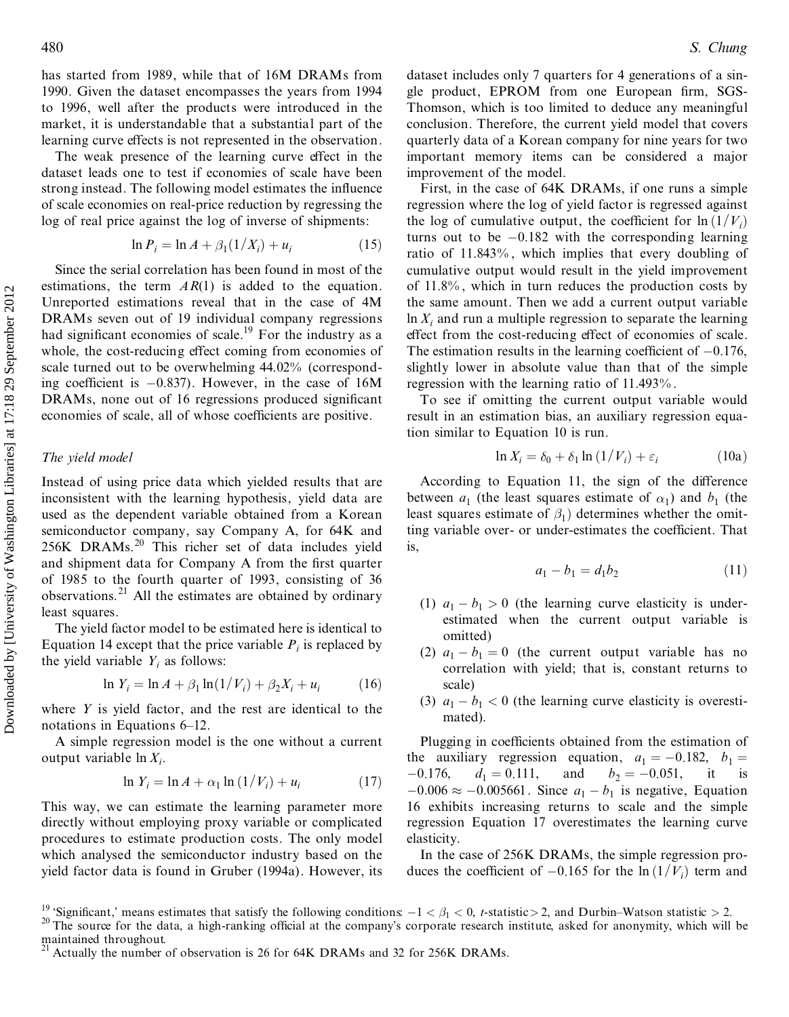has started from 1989, while that of 16M DRAMs from 1990. Given the dataset encompasses the years from 1994 to 1996, well after the products were introduced in the market, it is understandable that a substantial part of the learning curve effects is not represented in the observation.

The weak presence of the learning curve effect in the dataset leads one to test if economies of scale have been strong instead. The following model estimates the influence of scale economies on real-price reduction by regressing the log of real price against the log of inverse of shipments:

$$
\ln P_i = \ln A + \beta_1 (1/X_i) + u_i \tag{15}
$$

Since the serial correlation has been found in most of the estimations, the term  $AR(1)$  is added to the equation. Unreported estimations reveal that in the case of 4M DRAMs seven out of 19 individual company regressions had significant economies of scale.<sup>19</sup> For the industry as a whole, the cost-reducing effect coming from economies of scale turned out to be overwhelming 44.02% (corresponding coefficient is  $-0.837$ . However, in the case of 16M DRAMs, none out of 16 regressions produced significant economies of scale, all of whose coefficients are positive.

#### *The yield model*

Instead of using price data which yielded results that are inconsistent with the learning hypothesis, yield data are used as the dependent variable obtained from a Korean semiconductor company, say Company A, for 64K and 256K DRAMs.<sup>20</sup> This richer set of data includes yield and shipment data for Company A from the first quarter of 1985 to the fourth quarter of 1993, consisting of 36 observations.<sup>21</sup> All the estimates are obtained by ordinary least squares. estimation in the throughout of the number of the number of the number of the number of the number of the number of the number of the number of the constrained throughout coming for the constrained fluct consideration is

The yield factor model to be estimated here is identical to Equation 14 except that the price variable  $P_i$  is replaced by the yield variable  $Y_i$  as follows:

$$
\ln Y_i = \ln A + \beta_1 \ln(1/V_i) + \beta_2 X_i + u_i \tag{16}
$$

where *Y* is yield factor, and the rest are identical to the notations in Equations  $6-12$ .

A simple regression model is the one without a current output variable ln *Xi*.

$$
\ln Y_i = \ln A + \alpha_1 \ln \left( \frac{1}{V_i} \right) + u_i \tag{17}
$$

This way, we can estimate the learning parameter more directly without employing proxy variable or complicated procedures to estimate production costs. The only model which analysed the semiconductor industry based on the yield factor data is found in Gruber (1994a). However, its dataset includes only 7 quarters for 4 generations of a sin gle product, EPROM from one European firm, SGS-Thomson, which is too limited to deduce any meaningful conclusion. Therefore, the current yield model that covers quarterly data of a Korean company for nine years for two important memory items can be considered a major improvement of the model.

First, in the case of 64K DRAMs, if one runs a simple regression where the log of yield factor is regressed against the log of cumulative output, the coefficient for  $\ln(1/V_i)$ turns out to be  $-0.182$  with the corresponding learning ratio of 11.843% , which implies that every doubling of cumulative output would result in the yield improvement of 11.8% , which in turn reduces the production costs by the same amount. Then we add a current output variable  $\ln X_i$  and run a multiple regression to separate the learning effect from the cost-reducing effect of economies of scale. The estimation results in the learning coefficient of  $-0.176$ , slightly lower in absolute value than that of the simple regression with the learning ratio of 11.493% .

To see if omitting the current output variable would result in an estimation bias, an auxiliary regression equation similar to Equation 10 is run.

$$
\ln X_i = \delta_0 + \delta_1 \ln \left( 1 / V_i \right) + \varepsilon_i \tag{10a}
$$

According to Equation 11, the sign of the difference between  $a_1$  (the least squares estimate of  $a_1$ ) and  $b_1$  (the least squares estimate of  $\beta_1$ ) determines whether the omitting variable over- or under-estimates the coefficient. That is,

$$
a_1 - b_1 = d_1 b_2 \tag{11}
$$

- (1)  $a_1 b_1 > 0$  (the learning curve elasticity is under-<br>estimated when the current output variable is omitted)
- (2)  $a_1 b_1 = 0$  (the current output variable has no correlation with yield; that is, constant returns to scale)
- (3)  $a_1 b_1 < 0$  (the learning curve elasticity is overestimated).

Plugging in coefficients obtained from the estimation of the auxiliary regression equation,  $a_1 = -0.182$ ,  $b_1 = -0.176$ ,  $d_1 = 0.111$ , and  $b_2 = -0.051$ , it is  $d_1 = 0.111$ , and  $b_2 = -0.051$ , it is  $-0.006 \approx -0.005661$ . Since  $a_1 - b_1$  is negative, Equation 16 exhibits increasing returns to scale and the simple regression Equation 17 overestimates the learning curve elasticity.

In the case of 256K DRAMs, the simple regression pro duces the coefficient of  $-0.165$  for the ln  $(1/V_i)$  term and

<sup>&</sup>lt;sup>19</sup> 'Significant,' means estimates that satisfy the following conditions  $-1 < \beta_1 < 0$ , *t*-statistic > 2, and Durbin–Watson statistic > 2.<br><sup>20</sup> The source for the data, a high-ranking official at the company's corporate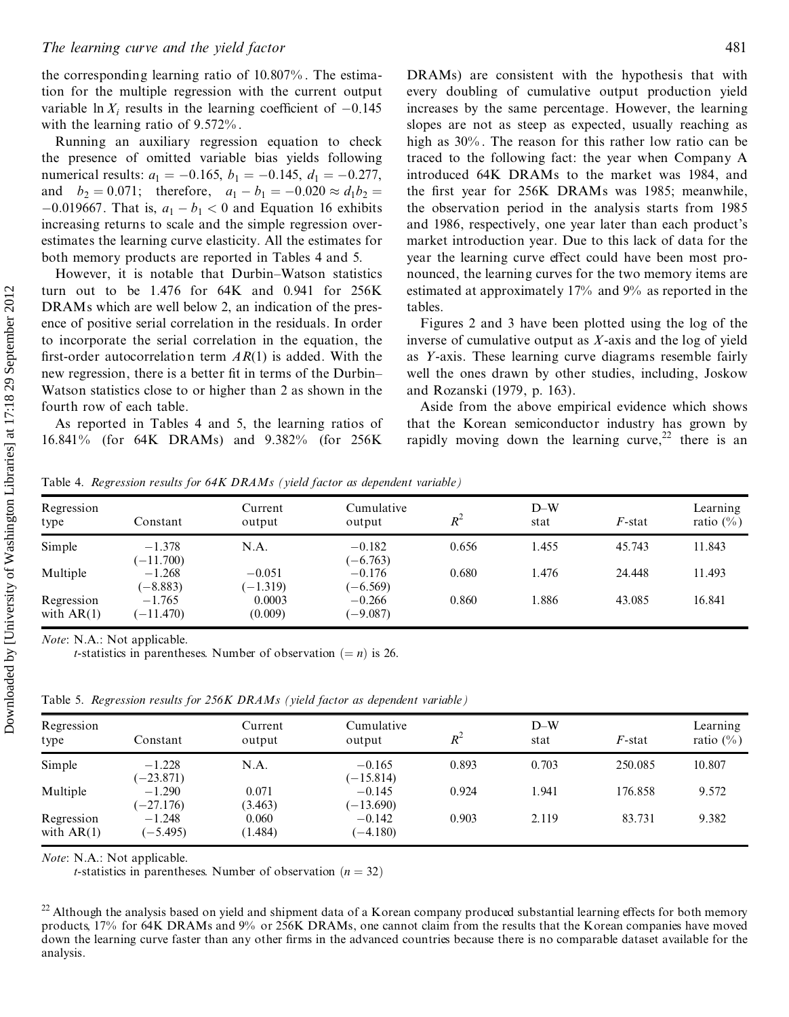the corresponding learning ratio of 10.807% . The estimation for the multiple regression with the current output variable  $\ln X_i$  results in the learning coefficient of  $-0.145$ with the learning ratio of 9.572% .

Running an auxiliary regression equation to check the presence of omitted variable bias yields following numerical results:  $a_1 = -0.165$ ,  $b_1 = -0.145$ ,  $d_1 = -0.277$ , and  $b_2 = 0.071$ ; therefore,  $a_1 - b_1 = -0.020 \approx d_1 b_2$  $-0.019667$ . That is,  $a_1 - b_1 < 0$  and Equation 16 exhibits increasing returns to scale and the simple regression over estimates the learning curve elasticity. All the estimates for both memory products are reported in Tables 4 and 5.

However, it is notable that Durbin–Watson statistics turn out to be 1.476 for 64K and 0.941 for 256K DRAMs which are well below 2, an indication of the pres ence of positive serial correlation in the residuals. In order to incorporate the serial correlation in the equation, the first-order autocorrelation term  $AR(1)$  is added. With the new regression, there is a better fit in terms of the Durbin– Watson statistics close to or higher than 2 as shown in the fourth row of each table.

As reported in Tables 4 and 5, the learning ratios of 16.841% (for 64K DRAMs) and 9.382% (for 256K

DRAMs) are consistent with the hypothesis that with every doubling of cumulative output production yield increases by the same percentage. However, the learning slopes are not as steep as expected, usually reaching as high as  $30\%$ . The reason for this rather low ratio can be traced to the following fact: the year when Company A introduced 64K DRAMs to the market was 1984, and the first year for 256K DRAMs was 1985; meanwhile, the observation period in the analysis starts from 1985 and 1986, respectively, one year later than each product's market introduction year. Due to this lack of data for the year the learning curve effect could have been most pronounced, the learning curves for the two memory items are estimated at approximately 17% and 9% as reported in the tables.

Figures 2 and 3 have been plotted using the log of the inverse of cumulative output as *X*-axis and the log of yield as *Y*-axis. These learning curve diagrams resemble fairly well the ones drawn by other studies, including, Joskow and Rozanski (1979, p. 163).

Aside from the above empirical evidence which shows that the Korean semiconductor industry has grown by rapidly moving down the learning curve,  $2^2$  there is an

Table 4. *Regression results for 64K DRAMs (yield factor as dependent variable)*

| Regression<br>type         | Constant                | Current<br>output      | Cumulative<br>output   | $R^2$ | $D-W$<br>stat | $F$ -stat | Learning<br>ratio $(\%)$ |
|----------------------------|-------------------------|------------------------|------------------------|-------|---------------|-----------|--------------------------|
| Simple                     | $-1.378$<br>$(-11.700)$ | N.A.                   | $-0.182$<br>$(-6.763)$ | 0.656 | 1.455         | 45.743    | 11.843                   |
| Multiple                   | $-1.268$<br>$-8.883$    | $-0.051$<br>$(-1.319)$ | $-0.176$<br>$(-6.569)$ | 0.680 | 1.476         | 24.448    | 11.493                   |
| Regression<br>with $AR(1)$ | $-1.765$<br>$(-11.470)$ | 0.0003<br>(0.009)      | $-0.266$<br>$(-9.087)$ | 0.860 | 1.886         | 43.085    | 16.841                   |

*Note*: N.A.: Not applicable.

*t*-statistics in parentheses. Number of observation  $(= n)$  is 26.

Table 5. *Regression results for 256K DRAMs (yield factor as dependent variable)*

| Regression<br>type         | Constant                | Current<br>output | Cumulative<br>output    | $R^2$ | $D-W$<br>stat | $F$ -stat | Learning<br>ratio $(\%)$ |
|----------------------------|-------------------------|-------------------|-------------------------|-------|---------------|-----------|--------------------------|
| Simple                     | $-1.228$<br>$(-23.871)$ | N.A.              | $-0.165$<br>$(-15.814)$ | 0.893 | 0.703         | 250.085   | 10.807                   |
| Multiple                   | $-1.290$<br>$(-27.176)$ | 0.071<br>(3.463)  | $-0.145$<br>$(-13.690)$ | 0.924 | 1.941         | 176.858   | 9.572                    |
| Regression<br>with $AR(1)$ | $-1.248$<br>$(-5.495)$  | 0.060<br>(1.484)  | $-0.142$<br>$(-4.180)$  | 0.903 | 2.119         | 83.731    | 9.382                    |

*Note*: N.A.: Not applicable.

*t*-statistics in parentheses. Number of observation  $(n = 32)$ 

 $^{22}$  Although the analysis based on yield and shipment data of a Korean company produced substantial learning effects for both memory products, 17% for 64K DRAMs and 9% or 256K DRAMs, one cannot claim from the results that the Korean companies have moved down the learning curve faster than any other firms in the advanced countries because there is no comparable dataset available for the analysis.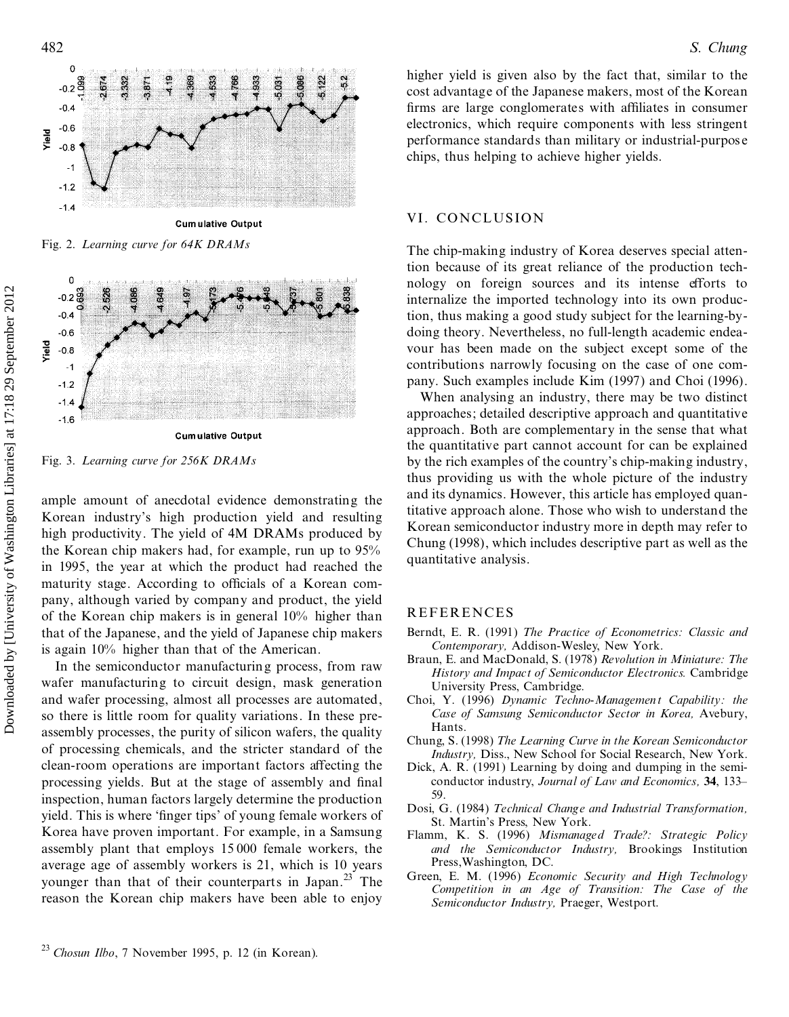



Fig. 3. *Learning curve for 256K DRAMs*

ample amount of anecdotal evidence demonstrating the Korean industry's high production yield and resulting high productivity. The yield of 4M DRAMs produced by the Korean chip makers had, for example, run up to 95% in 1995, the year at which the product had reached the maturity stage. According to officials of a Korean company, although varied by company and product, the yield of the Korean chip makers is in general 10% higher than that of the Japanese, and the yield of Japanese chip makers is again 10% higher than that of the American.

In the semiconductor manufacturing process, from raw wafer manufacturing to circuit design, mask generation and wafer processing, almost all processes are automated, so there is little room for quality variations. In these pre assembly processes, the purity of silicon wafers, the quality of processing chemicals, and the stricter standard of the clean-room operations are important factors affecting the processing yields. But at the stage of assembly and final inspection, human factors largely determine the production yield. This is where 'finger tips' of young female workers of Korea have proven important. For example, in a Samsung assembly plant that employs 15 000 female workers, the average age of assembly workers is 21, which is 10 years younger than that of their counterparts in Japan.<sup>23</sup> The reason the Korean chip makers have been able to enjoy 22 **Chosur** *Il boxum* **Illo**, *Il boxum* **Illo**, *Il boxum* **Illo**, *Il the Chosen industry's* high production yield and high productivity. The yield of 4M DRAMs product that the product of anced ball productivity. The y

higher yield is given also by the fact that, similar to the cost advantage of the Japanese makers, most of the Korean firms are large conglomerates with affiliates in consumer electronics, which require components with less stringent performance standards than military or industrial-purpos e chips, thus helping to achieve higher yields.

## VI. CONCLUSION

The chip-making industry of Korea deserves special attention because of its great reliance of the production tech nology on foreign sources and its intense efforts to internalize the imported technology into its own production, thus making a good study subject for the learning-by doing theory. Nevertheless, no full-length academic endea vour has been made on the subject except some of the contributions narrowly focusing on the case of one com pany. Such examples include Kim (1997) and Choi (1996).

When analysing an industry, there may be two distinct approaches; detailed descriptive approach and quantitative approach. Both are complementary in the sense that what the quantitative part cannot account for can be explained by the rich examples of the country's chip-making industry, thus providing us with the whole picture of the industry and its dynamics. However, this article has employed quantitative approach alone. Those who wish to understand the Korean semiconductor industry more in depth may refer to Chung (1998), which includes descriptive part as well as the quantitative analysis.

## REFERENCES

- Berndt, E. R. (1991) *The Practice of Econometrics: Classic and Contemporary,* Addison-Wesley, New York.
- Braun, E. and MacDonald, S. (1978) *Revolution in Miniature: The History and Impact of Semiconductor Electronics.* Cambridge University Press, Cambridge.
- Choi, Y. (1996) *Dynamic Techno-Management Capability: the Case of Samsung Semiconductor Sector in Korea,* Avebury, Hants.
- Chung, S. (1998) *The Learning Curve in the Korean Semiconductor Industry,* Diss., New School for Social Research, New York.
- Dick, A. R. (1991) Learning by doing and dumping in the semi conductor industry, *Journal of Law and Economics,* **34**, 133± 59.
- Dosi, G. (1984) *Technical Change and Industrial Transformation,* St. Martin's Press, New York.
- Flamm, K. S. (1996) *Mismanaged Trade?: Strategic Policy and the Semiconductor Industry,* Brookings Institution Press,Washington, DC.
- Green, E. M. (1996) *Economic Security and High Technology Competition in an Age of Transition: The Case of the Semiconductor Industry,* Praeger, Westport.